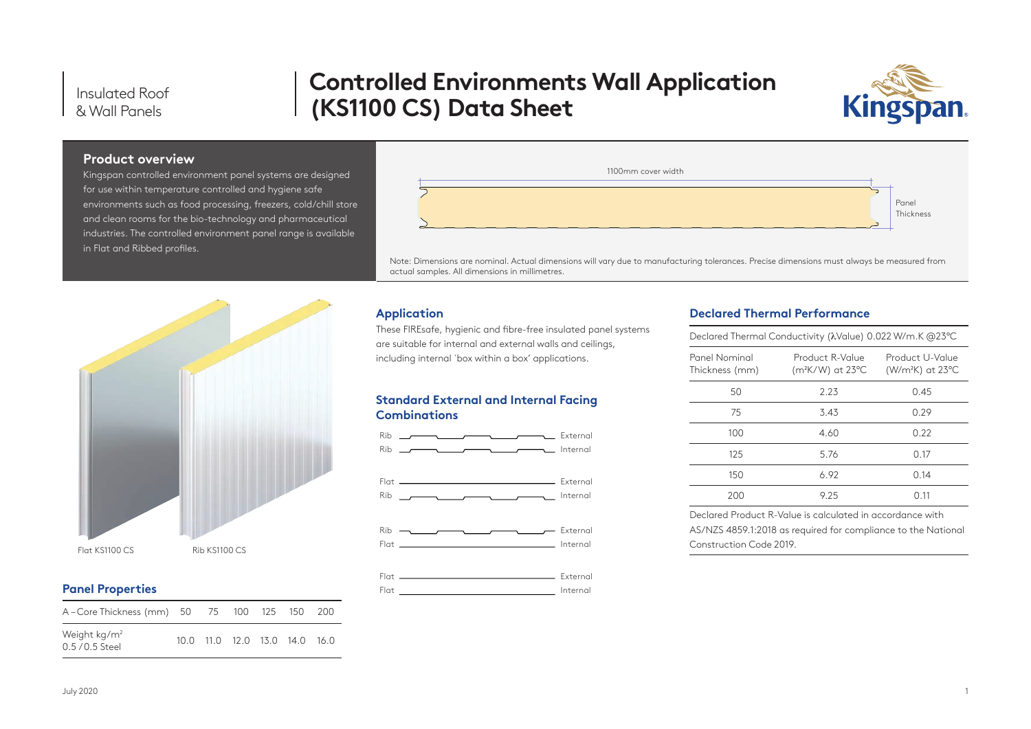Insulated Roof & Wall Panels

# **Controlled Environments Wall Application (KS1100 CS) Data Sheet**



#### **Product overview**

Kingspan controlled environment panel systems are designed for use within temperature controlled and hygiene safe environments such as food processing, freezers, cold/chill store and clean rooms for the bio-technology and pharmaceutical industries. The controlled environment panel range is available in Flat and Ribbed profiles.



Note: Dimensions are nominal. Actual dimensions will vary due to manufacturing tolerances. Precise dimensions must always be measured from actual samples. All dimensions in millimetres.



These FIREsafe, hygienic and fibre-free insulated panel systems are suitable for internal and external walls and ceilings, including internal `box within a box' applications.

#### **Standard External and Internal Facing Combinations**



### **Declared Thermal Performance**

| Declared Thermal Conductivity (λValue) 0.022 W/m.K @23°C |                                                  |                                       |  |  |
|----------------------------------------------------------|--------------------------------------------------|---------------------------------------|--|--|
| Panel Nominal<br>Thickness (mm)                          | Product R-Value<br>(m <sup>2</sup> K/W) at 23 °C | Product U-Value<br>$(W/m2K)$ at 23 °C |  |  |
| 50                                                       | 2.23                                             | 0.45                                  |  |  |
| 75                                                       | 3.43                                             | 0.29                                  |  |  |
| 100                                                      | 4.60                                             | 0.22                                  |  |  |
| 125                                                      | 5.76                                             | 0.17                                  |  |  |
| 150                                                      | 6.92                                             | 0.14                                  |  |  |
| 200                                                      | 9 25                                             | N 11                                  |  |  |

Declared Product R-Value is calculated in accordance with AS/NZS 4859.1:2018 as required for compliance to the National Construction Code 2019.

| Flat KS1100 CS | Rib KS1100 CS |  |
|----------------|---------------|--|

#### **Panel Properties**

| A – Core Thickness (mm) 50 75 100 125 150 200 |  |  |                               |  |
|-----------------------------------------------|--|--|-------------------------------|--|
| Weight $kg/m2$<br>$0.5/0.5$ Steel             |  |  | 10.0 11.0 12.0 13.0 14.0 16.0 |  |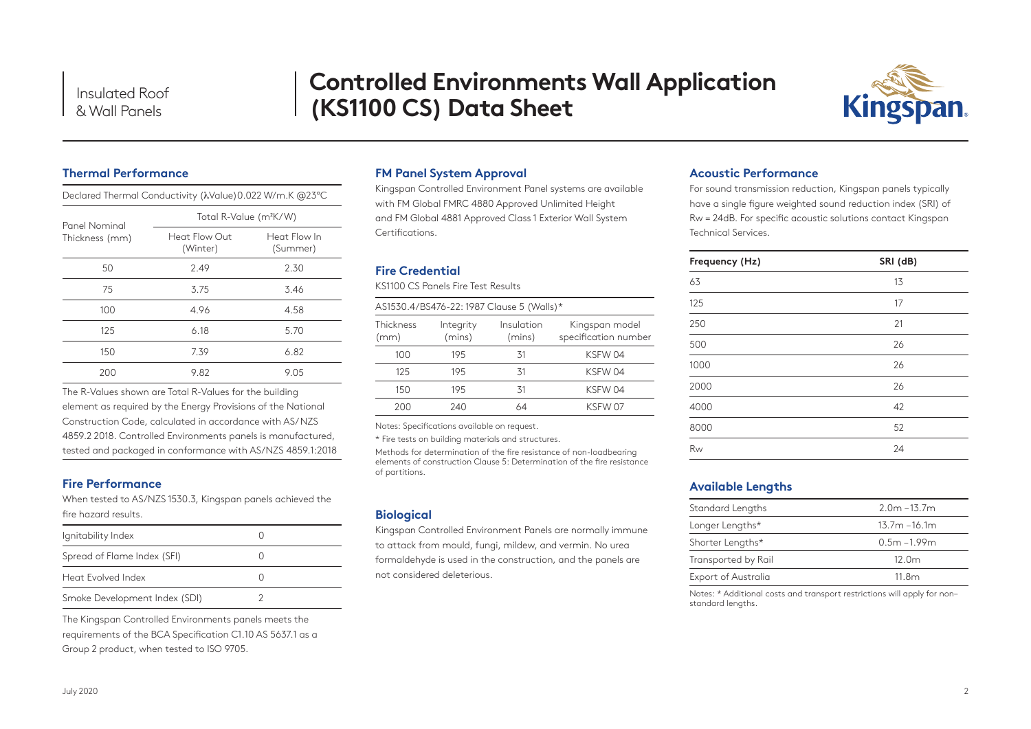# **Controlled Environments Wall Application (KS1100 CS) Data Sheet**



# **Thermal Performance**

Declared Thermal Conductivity (λValue)0.022 W/m.K @23°C

| Panel Nominal  | Total R-Value (m <sup>2</sup> K/W) |                          |  |  |  |
|----------------|------------------------------------|--------------------------|--|--|--|
| Thickness (mm) | Heat Flow Out<br>(Winter)          | Heat Flow In<br>(Summer) |  |  |  |
| 50             | 2.49                               | 2.30                     |  |  |  |
| 75             | 3.75                               | 3.46                     |  |  |  |
| 100            | 4.96                               | 4.58                     |  |  |  |
| 125            | 6.18                               | 5.70                     |  |  |  |
| 150            | 7.39                               | 6.82                     |  |  |  |
| 200            | 9.82                               | 9.05                     |  |  |  |

The R-Values shown are Total R-Values for the building element as required by the Energy Provisions of the National Construction Code, calculated in accordance with AS/ NZS 4859.2 2018. Controlled Environments panels is manufactured, tested and packaged in conformance with AS/NZS 4859.1:2018

### **Fire Performance**

When tested to AS/NZS 1530.3, Kingspan panels achieved the fire hazard results.

| Ignitability Index            |  |
|-------------------------------|--|
| Spread of Flame Index (SFI)   |  |
| Heat Evolved Index            |  |
| Smoke Development Index (SDI) |  |

The Kingspan Controlled Environments panels meets the requirements of the BCA Specification C1.10 AS 5637.1 as a Group 2 product, when tested to ISO 9705.

#### **FM Panel System Approval**

Kingspan Controlled Environment Panel systems are available with FM Global FMRC 4880 Approved Unlimited Height and FM Global 4881 Approved Class 1 Exterior Wall System Certifications.

## **Fire Credential**

KS1100 CS Panels Fire Test Results

| AS1530.4/BS476-22: 1987 Clause 5 (Walls)* |                     |                      |                                        |  |  |
|-------------------------------------------|---------------------|----------------------|----------------------------------------|--|--|
| Thickness<br>(mm)                         | Integrity<br>(mins) | Insulation<br>(mins) | Kingspan model<br>specification number |  |  |
| 100                                       | 195                 | 31                   | KSFW 04                                |  |  |
| 125                                       | 195                 | 31                   | KSFW 04                                |  |  |
| 150                                       | 195                 | 31                   | KSFW 04                                |  |  |
| 200                                       | 240                 | $\Delta$             | KSFW 07                                |  |  |

Notes: Specifications available on request.

\* Fire tests on building materials and structures.

Methods for determination of the fire resistance of non-loadbearing elements of construction Clause 5: Determination of the fire resistance of partitions.

### **Biological**

Kingspan Controlled Environment Panels are normally immune to attack from mould, fungi, mildew, and vermin. No urea formaldehyde is used in the construction, and the panels are not considered deleterious.

#### **Acoustic Performance**

For sound transmission reduction, Kingspan panels typically have a single figure weighted sound reduction index (SRI) of Rw = 24dB. For specific acoustic solutions contact Kingspan Technical Services.

| Frequency (Hz) | SRI (dB) |
|----------------|----------|
| 63             | 13       |
| 125            | 17       |
| 250            | 21       |
| 500            | 26       |
| 1000           | 26       |
| 2000           | 26       |
| 4000           | 42       |
| 8000           | 52       |
| Rw             | 24       |

### **Available Lengths**

| Standard Lengths    | $2.0m - 13.7m$    |
|---------------------|-------------------|
| Longer Lengths*     | $13.7m - 16.1m$   |
| Shorter Lengths*    | $0.5m - 1.99m$    |
| Transported by Rail | 12.0 <sub>m</sub> |
| Export of Australia | 11.8m             |

Notes: \* Additional costs and transport restrictions will apply for non– standard lengths.